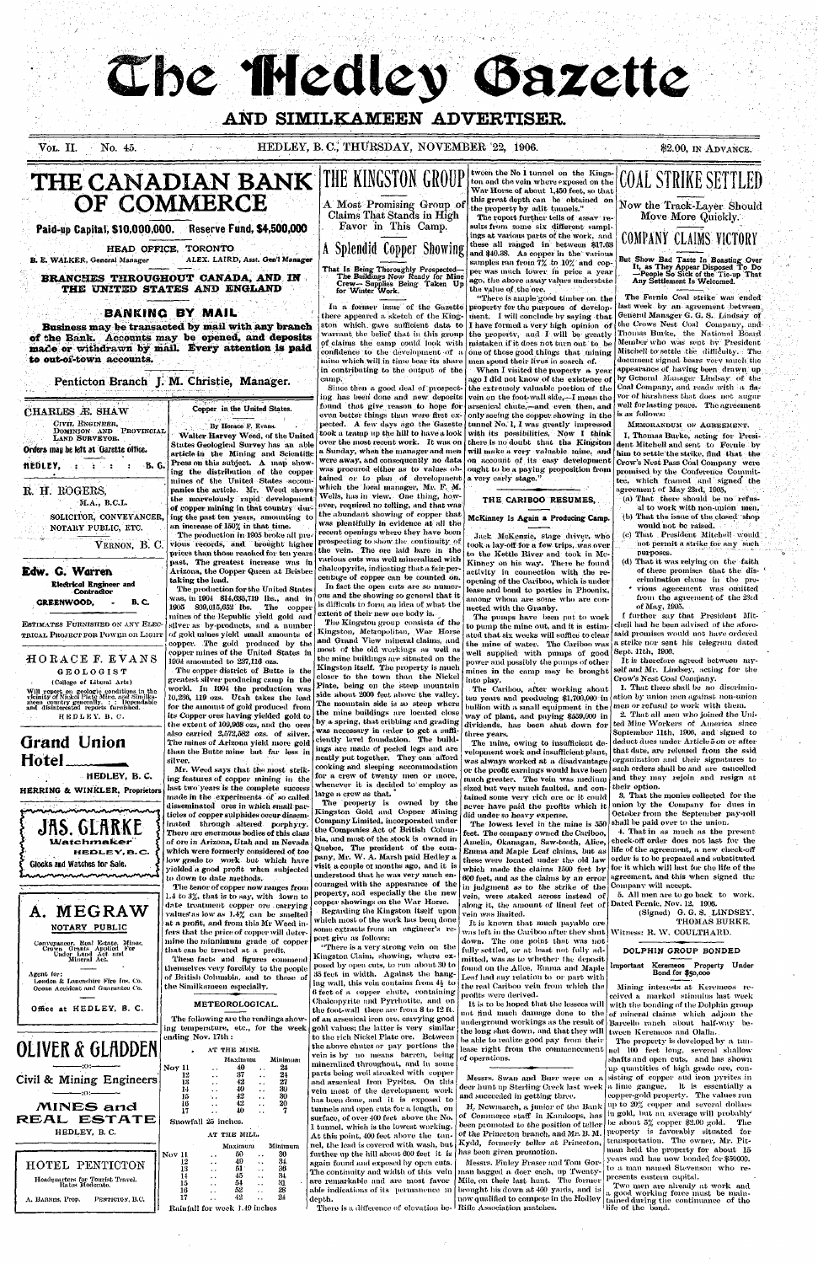# The Medley Bazette

## **AND SIMILKAMEEN ADVERTISER.**

#### VOL. II. No. 45. No. 45. HEDLEY, B.C., THURSDAY, NOVEMBER 22, 1906. \$2.00, IN ADVANCE.

## **THE CANADIAN BANK OF COMMERCE**

**B. E. WALKER, General Manager** ALEX. **LAIRD, Asst. Gen'l Manager** 

#### **Paid-up Capital, \$10,000,000. Reserve Fund, \$4,500,000**

HEAD OFFICE, TORONTO

**BRANCHES THROUGHOUT CANADA, AND IN THE UNITED STATES AND ENGLAND** 

#### **BANKING BY MAIL**

That Is Being Thoroughly Prospected-The Buildings Now Ready for Mine Crew—Supplies Being Taken Up for Winter Work.

CIVIL ENGINEER, DOMINION AND PROVINCIAL LAND SURVEYOR.

**Business may be transacted by mail with any branch**  of the Bank. Accounts may be opened, and deposits **made or** withdrawn **by mail. Every attention is paid to out-of-town** accounts.

**Edw. G. Warren**  Electrical Engineer and Contractor GREENWOOD. - B.C.

**Penticton Branch** *J.* M. **Christie, Manager.** 

ESTIMATES FURNISHED ON ANY ELEC-TRICAL PROJECT FOR POWER OR LIGHT THE KINGSTON GROUP

HORACE F. EVANS GEOLOGIST

A Most Promising Group of Claims That Stands in High Favor in This Camp.

A Splendid Copper Showing

#### CHARLES *M.* SHAW

#### Orders may be left at Gazette office.

**HEDLEY,** ,:'-.. : *:* : B. G.

### R. H. ROGERS,

M.A., B.C.L.

SOLICITOR, CONVEYANCER, NOTARY PUBLIC, ETC.

## Copper in the United States.

VERNON, B. C.

## **Grand Union Hotel**

HEDLEY, B. C. HERRING & WINKLER, Proprietors

JNJ. ULI **Watchmaker** HEDLEY, B.C. Glocks and Watches for Sale. **untuk mandalan penandaran penghasan pen** 

Mr. Weed says that the most striking features of copper mining in the last two'years is the complete success made in the experiments of so called disseminated ores in which small particles of copper sulphides occur disseminated through altered porphyry. There are enermous bodies of this class of ore in Arizona, Utah and in Nevada which were formerly considered of too low grade to work but which have yielded a good profit when subjected to down to date methods.



Agent for: London & Lancashire Fire Ins. Co. Ocean Accident and Guaruntco Co.

Office at HEDLEY, B. C.

The tenor of copper now ranges from 1.4 to 3%, that is to say, with down to date treatment copper ore carrying values"as low as 1.4% can be smelted at a profit, and from this Mr Weed infers that the price of copper will determine the minuiinum grade of copper that can be treated at a profit.

By Horace F. Evans. Walter.Harvey Weed, of the United States Geological Survey has an able article in the Mining and Scientific Press on this subject. A map showing the distribution of the coppermines of the United States accompanies the article. Mr. Weed shows the marvelously rapid development of copper mining in that country during the past ten years, amounting to

an increase of 150% in that time. The production in 1905 broke all previous records, and brought higher prices than those reached for ten years past, The greatest increase was in Arizona, the Copper Queen at Brisbee taking the lead.

The production for the United States was, in 1904 814,635,719 lbs., and in 1905 869,015,652 lbs. The coppermines of the Republic yield gold and silver as • by-products, and a number of gold mines yield small amounts of copper. The gold produced by the copper mines of the United States in 1904 amounted to 237,110 ozs.

The copper district of Butte is the

The Kingston group consists of the Kingston, Metropolitan, War Horse and Grand View mineral claims, and most of the old workings as well as the mine buildings are situated on the Kingston itself. The property is much closer to the town than the Nickel Plate, being on the steep mountain side about 2000 feet above the valley. The mountain side is so steep where the mine buildings are located close by a spring, that cribbing and grading was necessary in order to get a sufficiently level foundation. The buildings are made of peeled logs and are neatly put together. They can afford cooking and sleeping accommodation for a crew of twenty men or more, whenever it is decided to employ as large a crew as that. The property is owned by the Kingston Gold and Copper Mining Company Limited, incorporated under the Companies Act of British Columbia, and most of the stock is owned in Quebec, The president of the company, Mr. W. A. Marsh paid Hedley a visit a couple ot months ago, and it is understood.that he was very much encouraged with the appearance of the property, and especially the the new copper showings on the War Horse. Regarding the Kingston itself upon which most of the work has been, done some extracts from an engineer's report give as follows: "There is a very strong vein on the Kingston Claim, showing, where exposed by open cuts, to run about 30 to 35 feet in width. Against the hanging wall, this vein contains from  $4\frac{1}{4}$  to 6 feet of a copper chute, containing Chalcopyrite and Pyrrhotite, and on the foot-wall there are from 8 to 12 ft. of an arsenical iron ore, carrying good gold values; the latter is very similar to the rich Nickel Plate ore. Between the above chutes or pay portions the vein is by no means barren, being mineralized throughout, and in some parts being well streaked with copper and arsenical Iron Pyrites. On this vein most of the development work has been done, and it is exposed to tunnels and open cuts for a length, on surface, of over 400 feet above the No. 1 tunnel, which is the lowest working. At this point, 400 feet above the tunnel, the lead is covered with wash, but further up the hill about 600 feet it is again found and exposed by open cuts. agam tound and exposed by open cuts.<br>The continuity and width of this vein are continuity and width of this vent<br>are municipally and are most favor are remarkable and are most favor able indications of its permanence in depth. pth.<br>There is a difference of elevation be- Rifle Association matches.

greatest silver producing camp in the world. In 1904 the production was 10,236, 119 ozs. Utah takes the lead for the amount of gold produced from its Copper ores having yielded gold to the extent of 109,968 ozs, and the ores •also carried 2,572,582 ozs. of silver. The mines of Arizona yield more gold than the Butte mine but far less in silver.



These facts and figures commend themselves very forcibly to the people of British Columbia, and to those of the Similkameen especially.

#### METEOROLOGICAL.

The following are the readings showing temperature, etc., for the week ending Nov. 17th :

|        |                     | AT THE MINE.                  |         |  |
|--------|---------------------|-------------------------------|---------|--|
|        |                     | Maximum                       | Minimum |  |
| oy 11  |                     | 40                            | 24      |  |
| 12     |                     | 37                            | 24      |  |
| 13     |                     | 42                            | 27      |  |
| 14     |                     | 40                            | 30      |  |
| 15     |                     | 42                            | 30      |  |
| 16     |                     | 42                            | 20      |  |
| 17     |                     | 40                            | 7       |  |
|        | Snowfall 25 inches. | AT THE MILL.                  |         |  |
|        |                     | Maximum                       | Minimum |  |
| ov 11. |                     | 50                            | 30      |  |
| 12     |                     | 49                            | 31.     |  |
| 13     |                     | 51.                           | 36      |  |
| 14     |                     | 45                            | 34      |  |
| 15     |                     | 54                            | 31      |  |
| 16     |                     | 52                            | 28      |  |
| 17     |                     | 42                            | 24      |  |
|        |                     | Rainfall for week 1.49 inches |         |  |

In a former issue of the Gazette there appeared a sketch of the Kingston which, gave sufficient data to warrant, the belief that in this group of claims the camp could look with confidence to the development of a mine which will in time bear its share in contributing to the output of the camp'.

## GOAL STRIKE SETT Now the Track-Layer Should Move More Quickly. COMPANY CLAIMS VICTORY

the mine of water. The Cariboo was a strike nor sent his telegram dated I further say that President Mitchell had he been advised of the aforesaid promises would not have ordered

Since then a good deal of prospecting has been'done and new deposits found that give reason to hope for even better things than were first expected. A few days ago the Gazette took a tramp up the hill to have a look over the most recent work. It was on a Sunday, when the manager and men were away, and consequently no data was procured either as to values obtained or to plan of development

which the local manager, Mr. F. M. Wells, has in view. One thing, however, required no telling, and that was the abundant showing of copper that was plentifully in evidence at all the recent openings where they have been prospecting to show the continuity of the vein. The ore laid bare in the various cuts was well mineralized with chalcopyrite, indicating that a fair percentage of copper can be counted on.

In fact the open cuts are so numerous and the showing so general that it is difficult to form an idea of what the extent of their new ore body is.

I, Thomas Burke, acting for President Mitchell and sent to Fernie by him to settle the strike, find that the Crow's Nest Pass Coal Company were promised by the Conference Committee, which framed and signed" the agreement of May 23rd, 1905,

tween the No 1 tunnel on the Kingston and the vein where exposed on the War Horse of about 1,450 feet, so that this great depth can be obtained on the property by adit tunnels."

The report further tells of assav results from some six different samplings at various parts of the work, and. these all ranged in between \$17.63 and \$40.38. As copper in the various samples ran from 7% to 10% and copper was much lower in price a year ago, the above assay values understate the value of the ore.

"There is ample good timber on. the property for the purposes of development. I will conclude by saying that I have formed a very high opinion of the property, and I will be greatly mistaken if it does hot turn out to be one of those good things that mining men spend their lives in search of.

When I visited the property a year ago I did not know of the existence of the extremely valuable portion of the vein on the foot-wall side,—I mean the arsenical chute,—and, even then, and only seeing the copper showing in the tunnel No. 1, I was greatly impressed with its possibilities, Now I think

there is no doubt that tha Kingston will make a very valuable mine, and on account of its easy development ought to be a paying proposition from a very early stage."

But Show Bad Taste In Boasting Over It, as They Appear Disposed To Do —People So Sick of the Tie-up That Any Settlement Is Welcomed.

#### THE CARIBOO RESUMES,

#### McKinney Is Again a Producing Camp.

Jack McKenzie, stage driver, who took a lay-off for a few trips, was over. to the Kettle River and took in Mc-Kinney on his way. There he found activity in connection with the reopening of the Cariboo, which is under lease and bond to parties in Phoenix, among whom are some who are connected with the Granby.

The pumps have been put to work to pump the mine out, and it is estimated that six weeks will suffice to clear  $\vert$ well supplied with pumps of good Sept. 11th, 1906. power and possibly the pumps of other into play. The Cariboo, after working about bullion with a small equipment in the  $\vert$  men or refusal to work with them. way of plant, and paying \$559,000 in three years. The mine, owing to insufficient development work and insufficient plant, was always worked at a disadvantage or the profit earnings would have been much greater. The vein was medium sized but very much faulted, and contained some very rich ore or it could never have paid the profits which it did under so heavy expense, The lowest level in the mine is 550 feet. The company owned the Cariboo, Amelia, Okanagan, Saw-tooth, Alice, Emma and Maple Leaf claims, but as these were located under the old law which made the claims  $1500$  feet by 600 feet, and as the claims by an error in judgment as to the strike of the vein, were staked across instead of $\vert$ along it, the amount of lineal feet of Dated Fernie, Nov. 12, 1906. vein was limited. It is known that much payable ore was left in the Cariboo after they shut Witness: R. W. COULTHARD. down. The one point that was not fully settled, or at least not fully admitted, was as to whether the deposit found on the Alice, Emma and Maple Leaf had any relation to or part with the real Cariboo vein from which the profits were derived. It is to be hoped that the lessees will not find much damage done to the underground workings as the result of the long shut down, and that they will be able to realize good pay from their lease right from the commencement of operations.

mines in the camp may be brought self and Mr. Lindsey, acting for the ten years and producing \$1,700,000 in ation by union men against non-union dividends, has been shut down for ted Mine Workers of America since It is therefore agreed between my-Crow's Nest Coal Company. 1. That there shall be no discrimin-2. That all men who joined the Uni-September 11th, 1906, and signed to deduct dues under Article 5 on or after that date, are released from the said organization and their signatures to such orders shall be and are cancelled and they may rejoin and resign at their option.

(College of Liberal Arts)

Will report on geologic conditions in the<br>vicinity of Nickel Plate Mine, and Similka-<br>meen country generally. : : Dependable<br>and disinterested reports furnished.

HEDLEY, B, C.

The Fernie Coal strike was ended last week by an agreement between. General Manager G.G. S. Lindsay of the Crows Nest Coal Company, and Thomas Burke, the Nationul Board Member who was sent bv President Mitchell to settle the difficulty. The document signed bears very much the appearance of having been drawn up by General Manager Lindsay of the Coal Company, and reads with a flavor of harshness that does not augur well for lasting peace. The agreement is as follows:

MEMORANDUM OF AGREEMENT.

- (a) That there should be no refusal to work with non-union men.
- (b) That the issue of the closed shop would not be raised.
- (c) That President Mitchell would not permit a strike for any such purposes.
- (d) That it was relying on the faith of these promises that the discrimination clause in the pre vious ageeement was omitted from the agreement of the 23rd of May, 1905.

3. That the monies collected for the union by the Company for dues in October from the September pay-roll shall be paid over to the union.

4. That in as much as the present check-off order does not last for the life of the agreement, a new check-off order is to be prepared and substituted for it which will last for the life of the agreement, and this when signed the Company will accept.

5. All men are to go back to work.

(Signed) G. G. S. LINDSEY. THOMAS BURKE,

#### DOLPHIN GROUP BONDED

#### Important Keremeos Property Under Bond for \$50,000

Messrs. Swan and Burr were on a deer hunt up Sterling Creek last week and succeeded in getting three.

H. Newniarch, a junior of the Bank of the Princeton branch, and Mr. B. M.  $\vert$  property is favorably situated for Kydd, formerly teller at Princeton, has been given promotion.

Messrs. Finley Fraser and Tom Gorman bagged a deer each, up Twenty-Mile, on their last hunt. The former brought his down at 400 yards, and is now qualified to compete in the Hedley

Mining interests at Keremeos received a marked stimulus last week with the bonding of the Dolphin group of mineral claims which adjoin the Barcello ranch about half-way between Keremeos and Olalla..

of Commerce staff- in Kamloops, has iu gold, but an average will probably been promoted to the position of teller  $\vert$  be about 5% copper \$2.00 gold. The copper-gold property. The values run up to 20% copper and several dollars transportation. The owner, Mr. Pitman held the property for about 15 years aud has now bonded for \$50000. to a man named Stevenson who represents eastern capital.

The property is developed by a tunnel 100 feet long, several shallow shafts and open cuts, and has shown up quantities of high grade ore, consisting of copper aud iron pyrites in a lime gangue, It is essentially a

Two men are already at work and a good working force must be maintained during the continuance of the life of the bond.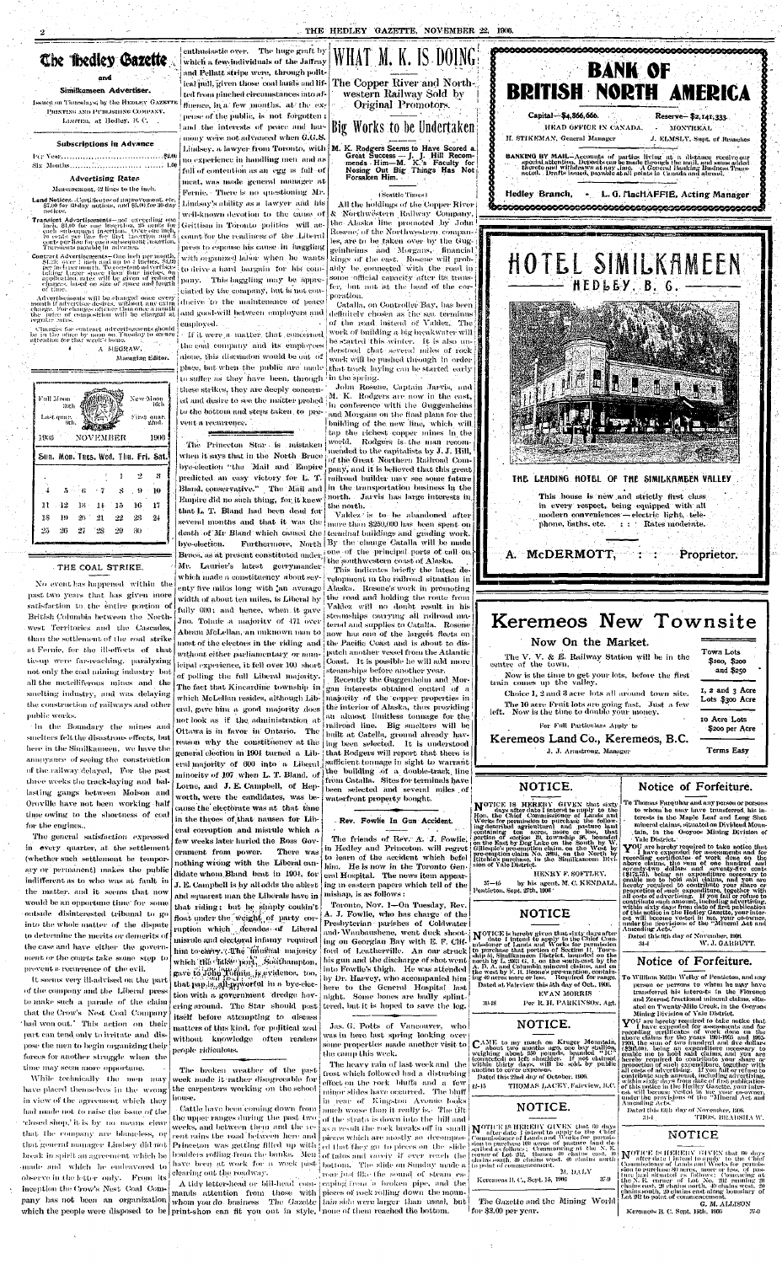## The medley Gazette

#### and

#### Simikameen Advertiser.

Issued on Timesdays; by the HEDLEY GAZET PRINTING AND PUBLISHING COMPANY. Limiten, at Hedley, B.C.

#### Subscriptions in Advance

#### **Advertising Rates**

#### Measurement, 12 lines to the inch.

Land Notices--Certificates of maprovement, etc.<br>\$7.00 for 60 day notices, and \$5.00 for 30-day notices.

Transient Advertisements-not exceeding one meh. \$1.00 for one insertion. 25 cents for<br>each subsequent insertion. Over one inch,<br>10 cents per line for lirst lasertion and 5 conts per the for each subsequent insertion<br>Transients payable in advance.

Controst Advertisements-One inch per month, SL25; over 1 identify the 4 inches, \$1.00<br>period per month. To constant advertises taking larger space than four fields. On application, rates will be given of reduced<br>eignges, based on size of space and length of time.

Advertisements will be changed once every<br>month if advertiser desires, without any extra<br>charge. For changes oftener than once a month<br>the [price of composition] will be charged at regular rates.

Changes for contract advertisements should be in the office by noon on Tuesday to secure attention for that week's issue.

٠,

A MEGRAW,

Managing Editor.

New Moon<br>16th Full Moon 30t) -Last quar.<br>9th First quark  $22 \mathrm{nd}$ NOVEMBER 1906 1936 Sun. Mon. Tues. Wed. Thu. Fri. Sat  $\overline{2}$ - 8 - 1  $\overline{5}$  $\cdot$  9  $-10$ 8  $\mathbf{11}$ 16  $-17$  $12\,$ -13 -15 18  $23\,$ -19  $20$  $\mathbf{22}$  $24$  $25$  $26 -27$ `28  $-29$ -30

#### THE COAL STRIKE.

No event has happened within the past two years that has given more satisfaction to the entire portion of British Columbia between the Northwest Territories and the Cascades, than the settlement of the coal strike at Fernie, for the ill-effects of that tie-up were far-reaching, paralyzing not only the coal mining industry but all the metelliferous mines and the

which a few individuals of the Jaffray and Pellatt stripe were, through political pull, given those coal lands and lifted from pinched circumstances into affluence, in a few months, at the expense of the public, is not forgotten; and the interests of peace and harmony were not advanced when G.G.S. Lindsey, a lawyer from Toronto, with | M. K. Rodgers Seems to Have Scored a. no experience in handling men, and as full of contention as an egg is full of meat, was made general manager at

> Fernie. There is no questioning Mr. Lindsay's ability as a lawyer and his well-known devotion to the cause of Geittism in Toronto politics will account for the readiness of the Liberal press to espouse his cause in haggling with organized labor when he wants to drive a hard bargain for his company. This haggling may be appreejated by the company, but is not conducive to the maintenance of peace and good-will between employers and

employed. | If it were a matter, that concerned the coal company and its employees alone, this discussion would be out of place, but when the public are made that track laying can be started early to suffer as they have been, through in the spring. these strikes, they are deeply concern-

ed and desire to see the matter probed to the bottom and steps taken, to pre- and Morgans on the final plans for the vent a recurrence.

The Princeton Star is mistaken when it says that in the North Bruce bye-election "the Mail and Empire predicted an easy victory for L. T. Bland, conservative." The Mail and Empire did no such thing, for it knew

that L. T. Bland had been dead for several months and that it was the more than \$250,000 has been spent on death of Mr Bland which caused the terminal buildings and grading work. bye-election. Bruce, as at present constituted under one of the principal ports of call on

Mr. Laurier's latest gerrymander which made a constituency about seventy five miles long with an average width of about ten miles, is Liberal by fully 600; and hence, when it gave Jno. Tolmie a majority of 471 over Abram McLellan, an unknown man to now has one of the largest fleets on most of the electors in the riding and without either parliamentary or municipal experience, it fell over 100 short of polling the full Liberal majority. The fact that Kincardine township in  $\frac{1}{2}$  gan interests obtained control of a which McLellan resides, although Lib- majority of the copper properties in eral, gave him a good majority does [ not look as if the administration at  $|$  an almost limitless tonnage for the Ottawa is in favor in Ontario. The reason why the constituency at the general election in 1904 turned a Liberal majority of 600 into a Liberal sufficient tonnage in sight to warrant minority of 107 when L. T. Bland, of the building of a double-track line Lorne, and J. E. Campbell, of Hepworth, were the candidates, was because the electorate was at that time in the throes of that nausea for Liberal corruption and misrule which a few weeks later hurled the Ross Government from power. There was nothing wrong with the Liberal candidate whom Bland beat in 1904, for J. E. Campbell is hy all odds the ablest and squar<mark>est</mark> man the Liberals have in that riding; but he simply couldn't float under the weight of party corruption which decades of Liberal misrule and electoral infamy -required him to carry. (Ahe "linustial" majority which the <sup>c</sup>litke port, Southampton, gave to John Hoffnie, is evidence, too, that pap,is<sub>m</sub>all-powerful in a bye-election with a government dredge hovering around. The Star should post itself before attempting to discuss matters of this kind, for political zeal without knowledge often renders people ridiculous.



Great Success -- J. J. Hill Recom-<br>mends Him-M. K.'s Faculty for Nosing Out Big Things Has Not Forsaken Him.

#### (Seattle Times)

All the holdings of the Copper River & Northwêstern Railway Company, the Alaska line promoted by John Rosene, of the Northwestern, companies, are to be taken over by the Guggeinheims and Morgans, financial kings of the east. Rosene will probably be connected with the road in some official capacity after its transfer, but not at the head of the corporation.

Catalla, on Controller Bay, has been definitely chosen as the sea terminus of the road instead of Valdez. The work of building a hig breakwater will be started this winter. It is also understood that several miles of rock work will be pushed through in order

John Rosene, Captain Jarvis, and M. K. Rodgers are now in the east, in conference with the Guggenheims building of the new line, which will

tap the richest copper mines in the world. Rodgers is the man recommended to the capitalists by J. J. Hill, of the Great Northern Railroad Company, and it is believed that this great railroad builder may see some future in the transportation business in the north. Jarvis has large interests in

the north. Valdez is to be abandoned after Furthermore, North By the change Catalla will be made

the southwestern coast of Alaska. This indicates briefly the latest development in the railroad situation in Alaska. Rosene's work in promoting the road and holding the route from Valdez will no doubt result in his steamships carrying all railroad maternd and supplies to Catalla. Rosene the Pacific Coast and is about to dispatch another vessel from the Atlantic Coast. It is possible he will add more steamships before another year. Recently the Guggenheim and Morthe interior of Alaska, thus providing raihoad line. Big smelters will be built at Catella, ground already having been selected. It is understood that Rodgers will report that there is from Catalla. Sites for terminals have been selected and several miles of waterfront property bought.



smelting industry, and was delaying the construction of railways and other public works.

In the Boundary the mines and smelters felt the disastrous effects, but here in the Similkameen, we have the annoyance of seeing the construction of the railway delayed, For the past three weeks the track-laying and bal lasting gangs between Molson and Oroville have not been working half time owing to the shortness of coal for the engines..

The general satisfaction expressed in every quarter, at the settlement (whether such settlement he tempor ary or permanent) makes the public indifferent as to who was at fault in the matter, and it seems that now would be an opportune time' for some outside disinterested tribunal to go into the whole matter of the dispute to determine the merits or demerits of the case and have either the government or the courts take some step to prevent a recurrence of the evil.

It seems very ill-advised on the part of the company and the Liberal press to make such a parade of the claim that the Crow's Nest Coal Company 'had won out.' This action on their part can tend only to irritate and dispose the men to begin organizing their forces for another struggle when the time may seem more opportune.

While technically the men may have placed themselves in the wrong in view of the agreement which they had made not to raise the issue of the relosed shop,' it is by no means clear that the company are blancless, or that general manager Lindsey did not break in spirit an agreement which he anade and which he endeavored to observe in the letter only. From its inception the Crow's Nest Coal Company has not been an organization

 $\Delta$ 

The broken weather of the past week made it rather disagreeable for the carpenters working on the school

Cattle have been coming down from the upper ranges during the past two weeks, and between them and the yecent rains the road between here and Princeton was getting filled up with clearing out the roadway.

which the people were disposed to be print-shop can fit you out in style, none of them reached the bottom.



The friends of Rev. A. J. Fowlie, in Hedley and Princeton. will regret to learn of the accident which befel him. He is now in the Toronto General Hospital. The news item appearing in eastern papers which tell of the mishap, is as follows :

Toronto, Nov. 1-On Tuesday, Rev. A. J. Fowlie, who has charge of the Presbyterian parishes of Coldwater here to the General Hospital last night. Some bones are badly splinttered, but it is hoped to save the leg.

Jas. G. Potts of Vancouver, who was in here last spring looking over]

frost which followed had a disturbing effect on the rock bluffs and a few minor slides have occurred. The bluff in rear of Kingston Avenue looks

much worse than it really is. The tiltof the strata is down into the bill and ed that they go to pieces on the slide boulders rolling from the banks. Men of talus and rarely if ever reach the have been at work for a week past bottom. The slide on Sunday made a roar just like the sound of steam es-

A tidy letter-head or bill-head com- | caping from in broken pipe, and the mands attention from those with pieces of rock-rolling down the mounwhom you do business The Gazette | tain side were larger than usual, but

The Gazette and the Mining World for \$3.00 per year.

G. M. ALLISON

Keremeos B. C. Sept. 15th. 1906 -37-9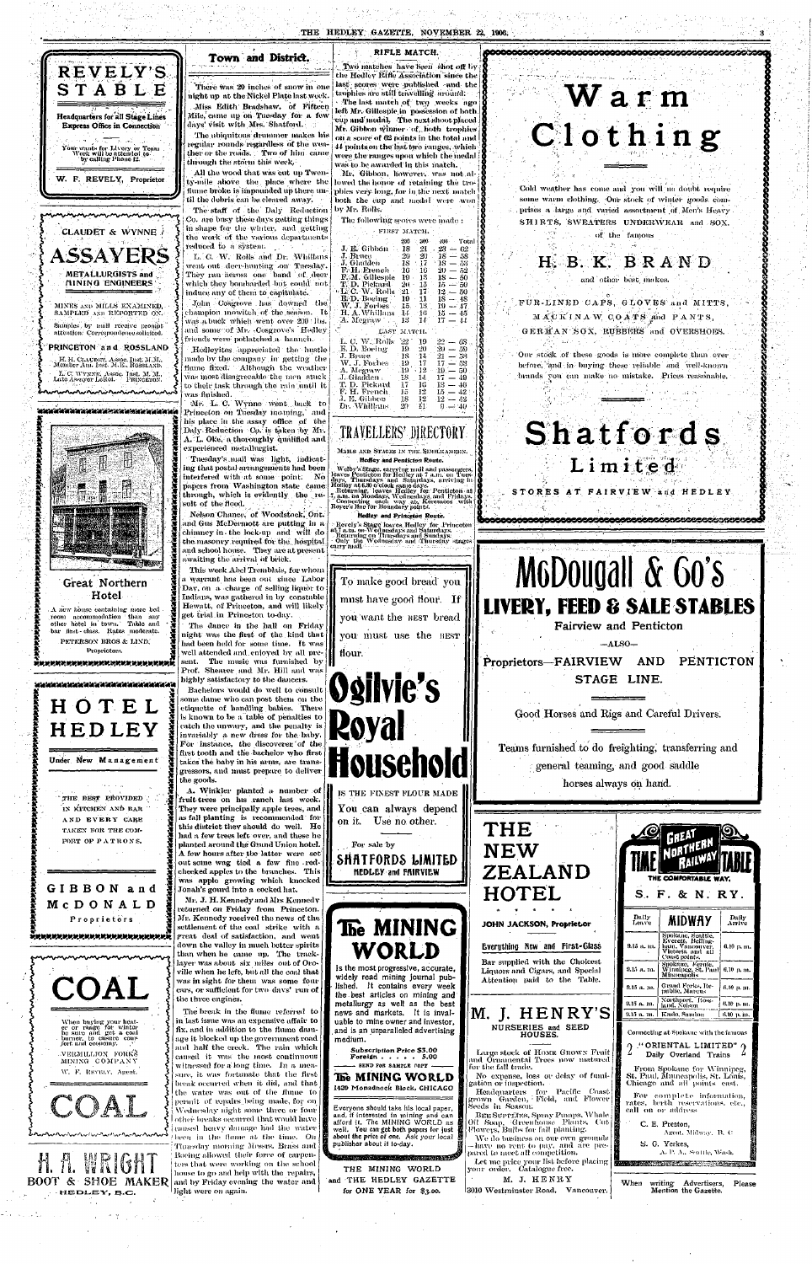## **•\*{•, REV ELY'S STABL E**  Headquarters for all Stage Lines Express Office in Connection Your wants for Livery or Team Work will be attended to .<br>by calling Phone 12. W. F. REVELY, Proprietor CLAUDET & WYNNE ASSAYERS METALLURGISTS and illNIN Q ENGINEERS

MINES AND MILLS EXAMINED. SAMPLED AND REPORTED ON. Samples by mail receive prompt attention. Correspondence solicited. PRINCETON an d ROSSLAND

#### **Town and District.**

IL II. CI,AL-DI:T. Assoc. Inst. M.M.. Membe r Am. Inst. M.E., ROSSLAND. L. C. AVvx.vn, Assoc. Lat e Assayc r LetJoi. Tnst. M. "Jl.. PKi.vci:ro.v, **- r \<\*rA^A\*W-w\*'W\*A»j--'\*Vki, -'W'\*i** 

#### 

All the wood that was cut up Twenty-mile above the place where the flume broke is impounded up there until the debris can be cleared away.

The staff of the Daly Reduction Co. are busy these days getting things | in shape for the winter, and getting the work of the various departments reduced to a system.

L. C. W. Rolls and Dr. Whillans went out deer-hunting on Tuesday. They ran across one band of deer which they bombarded but could not induce any of them to capitulate.

John Cosgrove has downed the *\* i champion mowitch of the season. Tt was a buck which went over 200 lbs. and some of Mr. -Cosgrove's Hedley friends were potlatched a haunch.

There was 20 inches of snow in one night up at the Nickel Plate last week. -Miss Edith Bradshaw, of Fifteen

Mile,'came up on Tuesday for a few days' visit with Mrs. Shatford.

The ubiquitous drummer makes his regular rounds regardless of the weather or the roads. Two of him came through the storm this week.  $\cdot$ 

Two matches have been shot off by the Hedley Rifle Association since the last scores were published and the trophies are stilt travelling ardiin'd: > -The last match of two weeks ago left Mr. Gillespie in possession of both cup and'medal. The next shoot placed Mr. Gibbon winner of hoth trophies on a score of 62 points in the fotal and 44 points on the last two ranges, which were the ranges upon which the medal was to be awarded in this match. Mr. Gibbon, however, was not al-

lowed the honor of retaining the trophies very long, for in the next match both the cup and medal were won by Mr. Rolls.

A new house containing more bed room accommodation than any other hotel in town. Table and bar first - class. Rates moderate. PETERSON BROS & LIND, Proprietors.

-Mr. L. C. Wynne went back to Princeton on Tuesday mouning,' and his place in the assay office of the Daly Reduction Co. is taken by Mi- . A. L. Oke, a thoroughly qualified an d experienced metallurgist.

This week Abel Tremblais, for whom a warrant has been out since Labor Day, on a, charge of selling liquor to Indians, was gathered in by constable Hewatt, of Princeton, and will likely get trial in Princeton to-day.

**I get**<br>
I rigi<br>
had<br>
mol The dance in the hall on Friday night was the first of the kind that had been held for some time. It was well attended and.enioyed by all present. The music was furnished by  $\|\cdot\|$ Prof. Shearer and Mr. Hill and was

#### RIFLE MATCH.

The following scores were made :

#### FIRST MATCH.

Hedleyites appreciated tho hustle made bv the company in getting the fluine fixed. Although the weather was most disagreeable the men stuck to their task through the rain until it was finished.

*X X*  Welby's Stage, earrying mail and passengers,<br>leaves Pentieton for Hedley at 7 a.m. on Tues-<br>days, Thursdays and Saturdays, arriving in-<br>Hedley at 6.30 o'clock same days.<br>Returning, leaves Hedley for Pentieton at<br>5, a.m. on Hedley and Princeton Route.

**3**  *X* 

*at \* I* 



*at at K at* 

> Revely's Stage leaves Heilley for Princeton at 7 a.m. on-Wednesday's and Saturdays.<br>
> A turning on Thursday's and Sundays.<br>
> • Only the Wednesday and Thursday stages carry mail.

*K at at K at at H K at 'K at a? as K at*  **\***  *K* 

**Hotel** 

*at % at at* 

*at* 

**\***   $\boldsymbol{X}$  . *at* 

*at* 

Tuesday's mail was light, indicating that postal arrangements had been interfered with at some point. No papers from Washington state came through, which is evidently the result of the flood.

|                                            | 200                 | $-300 -$                        | 400 Total                     |
|--------------------------------------------|---------------------|---------------------------------|-------------------------------|
| J. E. Gibbon   18   21   23 $-$ 62         |                     |                                 |                               |
| J. Bruce                                   |                     |                                 | $20\quad 20\quad 18\quad -58$ |
| J. Gladden 18 $17 - 18 = 53$               |                     |                                 |                               |
| <b>F.H.</b> Erench $16 - 16 = 20 = 52$     |                     |                                 |                               |
| <b>F.M.</b> Gillespie $19 \t18 \t18 - 50$  |                     |                                 |                               |
| T. D. Pickard 20 15 15 $-50$               |                     |                                 |                               |
| <b>L</b> . C. W. Rolls $21 - 17 - 12 = 50$ |                     |                                 |                               |
| <b>E. D.</b> Boeing 19 11 18 - 48          |                     |                                 |                               |
| <b>W. J. Forbes</b> $-15 - 13 - 19 = 47$ . |                     |                                 |                               |
| H. A. Whillans                             |                     |                                 | $-14$ $-16$ $-15$ $-45$       |
| A. Megraw                                  |                     | $13 - 14$                       | $17-44$                       |
|                                            |                     |                                 |                               |
|                                            |                     |                                 |                               |
| LAST MATCH.                                |                     |                                 |                               |
| L. C. W. Rolls $22 \quad 19$               |                     |                                 | $22 - 63$                     |
|                                            |                     | $19 - 20$                       |                               |
| E. D. Boeing<br>J. Bruce                   |                     | 18 14                           | $20 - 59$<br>$21 - 53$        |
| $W, J.$ Forbes $\overline{\phantom{a}}$    | $191$               |                                 | $17 \t17 - 58$                |
| A. Megraw $(19 \times 12 \times 10) = 50$  |                     |                                 |                               |
| $J. G1a\bar{d}$ den $18 - 14 - 17 = 49$    |                     |                                 |                               |
| T. D. Pickard                              | $17-$               | 10.                             | $13 - 46$                     |
| F. H. French                               | $15 -$              | $12 -$                          | $15-42$                       |
| J. E. Gibbon-<br>Dr. Whillans J            | -18<br>$20^{\circ}$ | 12 <sup>7</sup><br>$11^{\circ}$ | $12 - 92$                     |

Nelson Chance, of Woodstock, Out. and Gus McDermott are putting in a chimney in the lock-up and will do the masonry required for the hospital and school house. They are at present awaiting the arrival of brick.



### **.TRAYELLERS^DIRECTORY**

MAILS AND STACKS IN THE SIMILKAMERN. **Hedley and Penticton Route.** 



## Warm Clothing

**cceooooosoooscosos** 

Cold weather has come and you will no doubt require some warm clothing. Our stock of winter goods comprises a large and varied assortment of Men's Heavy SHIRTS, SWEATERS UNDERWEAR and SOX.  $\sim$  of the famous

**1** 

**I** 

**8** 

## **H. B. K. BRAND** and other best makes.

CAPS, GLOVES and MITTS,  $M A C K I N A W C O A T S$  and  $P A N T S$ , .-' SOX, RUBBERS and OVERSHOES.

Our stock of these goods is more complete than ever before, 'and in buying these reliable and well-known brands you can make no mistake. Prices reasonable.

# **Shatfords**

Limited STORES AT FAIRVIEW and HEDLEY

**ooQooooeoeeeseosososooQOo&dsooGos^^** 



**Proprietors—FAIRVIEW AND PENTICTON**